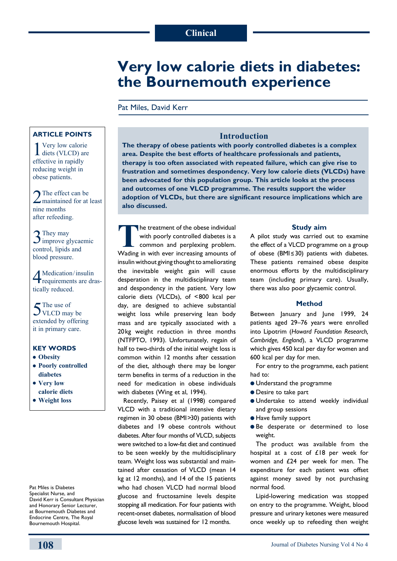# **Very low calorie diets in diabetes: the Bournemouth experience**

Pat Miles, David Kerr

# **Article points**

1 Very low calorie<br>diets (VLCD) are effective in rapidly reducing weight in obese patients.

2The effect can be maintained for at least nine months after refeeding.

3 They may improve glycaemic control, lipids and blood pressure.

4Medication/insulin requirements are drastically reduced.

 $\blacktriangle$  The use of  $\bigcup$  VLCD may be extended by offering it in primary care.

# **Key words**

- **Obesity**
- **Poorly controlled diabetes**
- Very low **calorie diets**
- $\bullet$  Weight loss

Pat Miles is Diabetes Specialist Nurse, and David Kerr is Consultant Physician and Honorary Senior Lecturer, at Bournemouth Diabetes and Endocrine Centre, The Royal Bournemouth Hospital.

# **Introduction**

**The therapy of obese patients with poorly controlled diabetes is a complex area. Despite the best efforts of healthcare professionals and patients, therapy is too often associated with repeated failure, which can give rise to frustration and sometimes despondency. Very low calorie diets (VLCDs) have been advocated for this population group. This article looks at the process and outcomes of one VLCD programme. The results support the wider adoption of VLCDs, but there are significant resource implications which are also discussed.** 

The treatment of the obese individual<br>with poorly controlled diabetes is a<br>common and perplexing problem.<br>Wading in with ever increasing amounts of with poorly controlled diabetes is a common and perplexing problem. Wading in with ever increasing amounts of insulin without giving thought to ameliorating the inevitable weight gain will cause desperation in the multidisciplinary team and despondency in the patient. Very low calorie diets (VLCDs), of <800 kcal per day, are designed to achieve substantial weight loss while preserving lean body mass and are typically associated with a 20kg weight reduction in three months (NTFPTO, 1993). Unfortunately, regain of half to two-thirds of the initial weight loss is common within 12 months after cessation of the diet, although there may be longer term benefits in terms of a reduction in the need for medication in obese individuals with diabetes (Wing et al, 1994).

Recently, Paisey et al (1998) compared VLCD with a traditional intensive dietary regimen in 30 obese (BMI>30) patients with diabetes and 19 obese controls without diabetes. After four months of VLCD, subjects were switched to a low-fat diet and continued to be seen weekly by the multidisciplinary team. Weight loss was substantial and maintained after cessation of VLCD (mean 14 kg at 12 months), and 14 of the 15 patients who had chosen VLCD had normal blood glucose and fructosamine levels despite stopping all medication. For four patients with recent-onset diabetes, normalisation of blood glucose levels was sustained for 12 months.

## **Study aim**

A pilot study was carried out to examine the effect of a VLCD programme on a group of obese (BMI $\leq$ 30) patients with diabetes. These patients remained obese despite enormous efforts by the multidisciplinary team (including primary care). Usually, there was also poor glycaemic control.

## **Method**

Between January and June 1999, 24 patients aged 29–76 years were enrolled into Lipotrim (*Howard Foundation Research, Cambridge, England*), a VLCD programme which gives 450 kcal per day for women and 600 kcal per day for men.

For entry to the programme, each patient had to:

- $\bullet$  Understand the programme
- **Desire to take part**
- **· Undertake to attend weekly individual** and group sessions
- **e** Have family support
- $\bullet$  Be desperate or determined to lose weight.

The product was available from the hospital at a cost of £18 per week for women and £24 per week for men. The expenditure for each patient was offset against money saved by not purchasing normal food.

Lipid-lowering medication was stopped on entry to the programme. Weight, blood pressure and urinary ketones were measured once weekly up to refeeding then weight

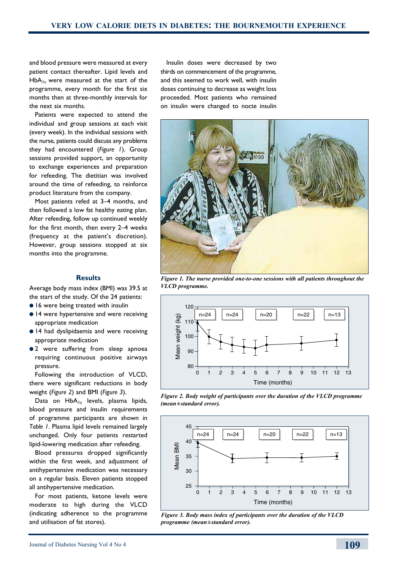and blood pressure were measured at every patient contact thereafter. Lipid levels and  $HbA_{1c}$  were measured at the start of the programme, every month for the first six months then at three-monthly intervals for the next six months.

Patients were expected to attend the individual and group sessions at each visit (every week). In the individual sessions with the nurse, patients could discuss any problems they had encountered (*Figure 1*). Group sessions provided support, an opportunity to exchange experiences and preparation for refeeding. The dietitian was involved around the time of refeeding, to reinforce product literature from the company.

Most patients refed at 3–4 months, and then followed a low fat healthy eating plan. After refeeding, follow up continued weekly for the first month, then every 2–4 weeks (frequency at the patient's discretion). However, group sessions stopped at six months into the programme.

## **Results**

Average body mass index (BMI) was 39.5 at the start of the study. Of the 24 patients:

- **.** 16 were being treated with insulin
- **.** 14 were hypertensive and were receiving appropriate medication
- $\bullet$  14 had dyslipidaemia and were receiving appropriate medication
- 2 were suffering from sleep apnoea requiring continuous positive airways pressure.

Following the introduction of VLCD, there were significant reductions in body weight (*Figure 2*) and BMI (*Figure 3*).

Data on HbA<sub>1c</sub> levels, plasma lipids, blood pressure and insulin requirements of programme participants are shown in *Table 1*. Plasma lipid levels remained largely unchanged. Only four patients restarted lipid-lowering medication after refeeding.

Blood pressures dropped significantly within the first week, and adjustment of antihypertensive medication was necessary on a regular basis. Eleven patients stopped all antihypertensive medication.

For most patients, ketone levels were moderate to high during the VLCD (indicating adherence to the programme and utilisation of fat stores).

Insulin doses were decreased by two thirds on commencement of the programme, and this seemed to work well, with insulin doses continuing to decrease as weight loss proceeded. Most patients who remained on insulin were changed to nocte insulin



*Figure 1. The nurse provided one-to-one sessions with all patients throughout the VLCD programme.*



*Figure 2. Body weight of participants over the duration of the VLCD programme (mean±standard error).*



*Figure 3. Body mass index of participants over the duration of the VLCD programme (mean±standard error).*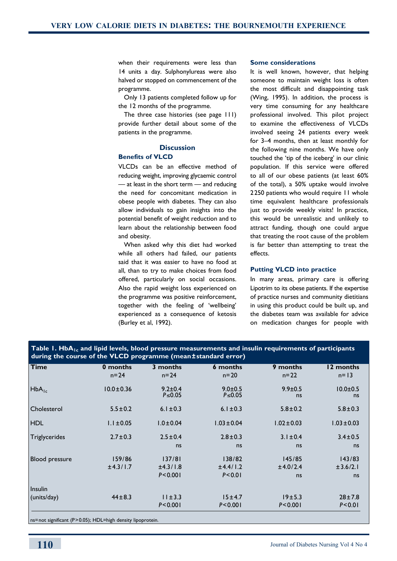when their requirements were less than 14 units a day. Sulphonylureas were also halved or stopped on commencement of the programme.

Only 13 patients completed follow up for the 12 months of the programme.

The three case histories (see page 111) provide further detail about some of the patients in the programme.

# **Discussion**

# **Benefits of VLCD**

VLCDs can be an effective method of reducing weight, improving glycaemic control — at least in the short term — and reducing the need for concomitant medication in obese people with diabetes. They can also allow individuals to gain insights into the potential benefit of weight reduction and to learn about the relationship between food and obesity.

When asked why this diet had worked while all others had failed, our patients said that it was easier to have no food at all, than to try to make choices from food offered, particularly on social occasions. Also the rapid weight loss experienced on the programme was positive reinforcement, together with the feeling of 'wellbeing' experienced as a consequence of ketosis (Burley et al, 1992).

#### **Some considerations**

It is well known, however, that helping someone to maintain weight loss is often the most difficult and disappointing task (Wing, 1995). In addition, the process is very time consuming for any healthcare professional involved. This pilot project to examine the effectiveness of VLCDs involved seeing 24 patients every week for 3–4 months, then at least monthly for the following nine months. We have only touched the 'tip of the iceberg' in our clinic population. If this service were offered to all of our obese patients (at least 60% of the total), a 50% uptake would involve 2250 patients who would require 11 whole time equivalent healthcare professionals just to provide weekly visits! In practice, this would be unrealistic and unlikely to attract funding, though one could argue that treating the root cause of the problem is far better than attempting to treat the effects.

## **Putting VLCD into practice**

In many areas, primary care is offering Lipotrim to its obese patients. If the expertise of practice nurses and community dietitians in using this product could be built up, and the diabetes team was available for advice on medication changes for people with

| during the course of the VLCD programme (mean±standard error) |                                 |                                |                          |                          |
|---------------------------------------------------------------|---------------------------------|--------------------------------|--------------------------|--------------------------|
| 0 months<br>$n = 24$                                          | 3 months<br>$n = 24$            | 6 months<br>$n = 20$           | 9 months<br>$n = 22$     | 12 months<br>$n = 13$    |
| $10.0 \pm 0.36$                                               | $9.2 \pm 0.4$<br>$P \le 0.05$   | $9.0 \pm 0.5$<br>$P \le 0.05$  | $9.9 \pm 0.5$<br>ns      | $10.0 + 0.5$<br>ns       |
| $5.5 \pm 0.2$                                                 | $6.1 \pm 0.3$                   | $6.1 \pm 0.3$                  | $5.8 \pm 0.2$            | $5.8 \pm 0.3$            |
| $1.1 \pm 0.05$                                                | $1.0 \pm 0.04$                  | $1.03 \pm 0.04$                | $1.02 \pm 0.03$          | $1.03 \pm 0.03$          |
| $2.7 \pm 0.3$                                                 | $2.5 \pm 0.4$<br>ns             | $2.8 \pm 0.3$<br>ns            | $3.1 \pm 0.4$<br>ns      | $3.4 \pm 0.5$<br>ns      |
| 159/86<br>±4.3/1.7                                            | 137/81<br>±4.3/1.8<br>P < 0.001 | 138/82<br>±4.4/1.2<br>P < 0.01 | 145/85<br>±4.0/2.4<br>ns | 143/83<br>±3.6/2.1<br>ns |
| $44 \pm 8.3$                                                  | $11 \pm 3.3$<br>P < 0.001       | 15±4.7<br>P < 0.001            | 19±5.3<br>P < 0.001      | $28 + 7.8$<br>P < 0.01   |
|                                                               |                                 |                                |                          |                          |

**Table 1. HbA<sub>1c</sub> and lipid levels, blood pressure measurements and insulin requirements of participants** 

ns=not significant (P>0.05); HDL=high density lipoprotein.